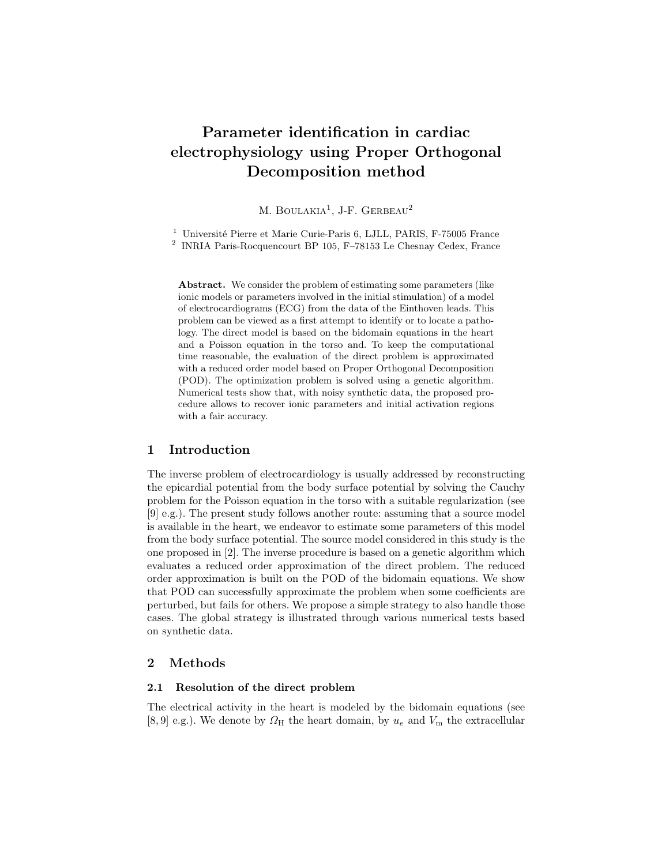# Parameter identification in cardiac electrophysiology using Proper Orthogonal Decomposition method

M. BOULAKIA<sup>1</sup>, J-F. GERBEAU<sup>2</sup>

 $1$  Université Pierre et Marie Curie-Paris 6, LJLL, PARIS, F-75005 France

2 INRIA Paris-Rocquencourt BP 105, F–78153 Le Chesnay Cedex, France

Abstract. We consider the problem of estimating some parameters (like ionic models or parameters involved in the initial stimulation) of a model of electrocardiograms (ECG) from the data of the Einthoven leads. This problem can be viewed as a first attempt to identify or to locate a pathology. The direct model is based on the bidomain equations in the heart and a Poisson equation in the torso and. To keep the computational time reasonable, the evaluation of the direct problem is approximated with a reduced order model based on Proper Orthogonal Decomposition (POD). The optimization problem is solved using a genetic algorithm. Numerical tests show that, with noisy synthetic data, the proposed procedure allows to recover ionic parameters and initial activation regions with a fair accuracy.

# 1 Introduction

The inverse problem of electrocardiology is usually addressed by reconstructing the epicardial potential from the body surface potential by solving the Cauchy problem for the Poisson equation in the torso with a suitable regularization (see [9] e.g.). The present study follows another route: assuming that a source model is available in the heart, we endeavor to estimate some parameters of this model from the body surface potential. The source model considered in this study is the one proposed in [2]. The inverse procedure is based on a genetic algorithm which evaluates a reduced order approximation of the direct problem. The reduced order approximation is built on the POD of the bidomain equations. We show that POD can successfully approximate the problem when some coefficients are perturbed, but fails for others. We propose a simple strategy to also handle those cases. The global strategy is illustrated through various numerical tests based on synthetic data.

## 2 Methods

#### 2.1 Resolution of the direct problem

The electrical activity in the heart is modeled by the bidomain equations (see [8,9] e.g.). We denote by  $\Omega_H$  the heart domain, by  $u_e$  and  $V_m$  the extracellular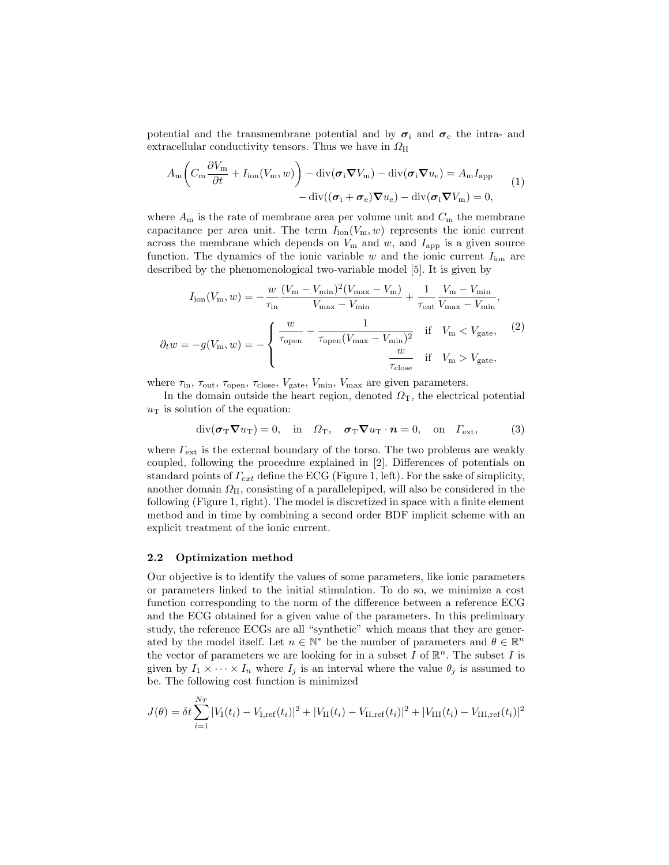potential and the transmembrane potential and by  $\sigma_i$  and  $\sigma_e$  the intra- and extracellular conductivity tensors. Thus we have in  $\Omega_{\rm H}$ 

$$
A_{\rm m}\left(C_{\rm m}\frac{\partial V_{\rm m}}{\partial t} + I_{\rm ion}(V_{\rm m},w)\right) - \mathrm{div}(\boldsymbol{\sigma}_{\rm i}\boldsymbol{\nabla}V_{\rm m}) - \mathrm{div}(\boldsymbol{\sigma}_{\rm i}\boldsymbol{\nabla}u_{\rm e}) = A_{\rm m}I_{\rm app}
$$
  
 
$$
-\mathrm{div}((\boldsymbol{\sigma}_{\rm i} + \boldsymbol{\sigma}_{\rm e})\boldsymbol{\nabla}u_{\rm e}) - \mathrm{div}(\boldsymbol{\sigma}_{\rm i}\boldsymbol{\nabla}V_{\rm m}) = 0,
$$
 (1)

where  $A_m$  is the rate of membrane area per volume unit and  $C_m$  the membrane capacitance per area unit. The term  $I_{\text{ion}}(V_m, w)$  represents the ionic current across the membrane which depends on  $V_m$  and  $w$ , and  $I_{app}$  is a given source function. The dynamics of the ionic variable  $w$  and the ionic current  $I_{\text{ion}}$  are described by the phenomenological two-variable model [5]. It is given by

$$
I_{\text{ion}}(V_{\text{m}}, w) = -\frac{w}{\tau_{\text{in}}} \frac{(V_{\text{m}} - V_{\text{min}})^2 (V_{\text{max}} - V_{\text{m}})}{V_{\text{max}} - V_{\text{min}}} + \frac{1}{\tau_{\text{out}}} \frac{V_{\text{m}} - V_{\text{min}}}{V_{\text{max}} - V_{\text{min}}},
$$
  

$$
\partial_t w = -g(V_{\text{m}}, w) = -\begin{cases} \frac{w}{\tau_{\text{open}}} - \frac{1}{\tau_{\text{open}} (V_{\text{max}} - V_{\text{min}})^2} & \text{if} \quad V_{\text{m}} < V_{\text{gate}}, \\ \frac{w}{\tau_{\text{close}}} & \text{if} \quad V_{\text{m}} > V_{\text{gate}}, \end{cases}
$$
(2)

where  $\tau_{\text{in}}$ ,  $\tau_{\text{out}}$ ,  $\tau_{\text{open}}$ ,  $\tau_{\text{close}}$ ,  $V_{\text{gate}}$ ,  $V_{\text{min}}$ ,  $V_{\text{max}}$  are given parameters.

In the domain outside the heart region, denoted  $\Omega_T$ , the electrical potential  $u<sub>T</sub>$  is solution of the equation:

$$
\operatorname{div}(\boldsymbol{\sigma}_{\mathrm{T}}\boldsymbol{\nabla}u_{\mathrm{T}})=0, \quad \text{in} \quad \Omega_{\mathrm{T}}, \quad \boldsymbol{\sigma}_{\mathrm{T}}\boldsymbol{\nabla}u_{\mathrm{T}}\cdot\boldsymbol{n}=0, \quad \text{on} \quad \Gamma_{\mathrm{ext}}, \tag{3}
$$

where  $\Gamma_{\rm ext}$  is the external boundary of the torso. The two problems are weakly coupled, following the procedure explained in [2]. Differences of potentials on standard points of  $\Gamma_{ext}$  define the ECG (Figure 1, left). For the sake of simplicity, another domain  $\Omega_{\rm H}$ , consisting of a parallelepiped, will also be considered in the following (Figure 1, right). The model is discretized in space with a finite element method and in time by combining a second order BDF implicit scheme with an explicit treatment of the ionic current.

## 2.2 Optimization method

Our objective is to identify the values of some parameters, like ionic parameters or parameters linked to the initial stimulation. To do so, we minimize a cost function corresponding to the norm of the difference between a reference ECG and the ECG obtained for a given value of the parameters. In this preliminary study, the reference ECGs are all "synthetic" which means that they are generated by the model itself. Let  $n \in \mathbb{N}^*$  be the number of parameters and  $\theta \in \mathbb{R}^n$ the vector of parameters we are looking for in a subset  $I$  of  $\mathbb{R}^n$ . The subset  $I$  is given by  $I_1 \times \cdots \times I_n$  where  $I_j$  is an interval where the value  $\theta_j$  is assumed to be. The following cost function is minimized

$$
J(\theta) = \delta t \sum_{i=1}^{N_T} |V_{\rm I}(t_i) - V_{\rm I,ref}(t_i)|^2 + |V_{\rm II}(t_i) - V_{\rm II,ref}(t_i)|^2 + |V_{\rm III}(t_i) - V_{\rm III,ref}(t_i)|^2
$$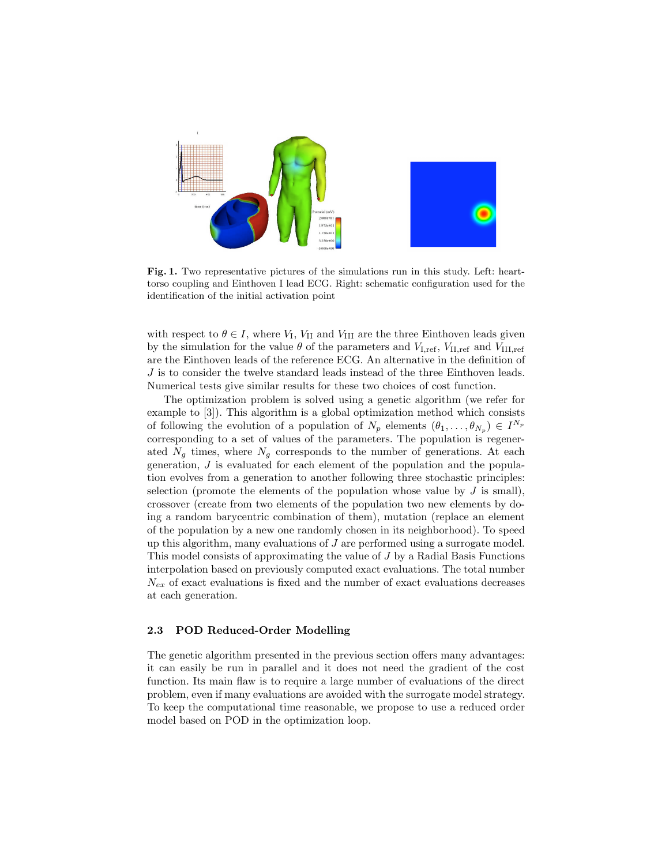

Fig. 1. Two representative pictures of the simulations run in this study. Left: hearttorso coupling and Einthoven I lead ECG. Right: schematic configuration used for the identification of the initial activation point

with respect to  $\theta \in I$ , where  $V_I$ ,  $V_{II}$  and  $V_{III}$  are the three Einthoven leads given by the simulation for the value  $\theta$  of the parameters and  $V_{\text{I,ref}}$ ,  $V_{\text{II,ref}}$  and  $V_{\text{III,ref}}$ are the Einthoven leads of the reference ECG. An alternative in the definition of J is to consider the twelve standard leads instead of the three Einthoven leads. Numerical tests give similar results for these two choices of cost function.

The optimization problem is solved using a genetic algorithm (we refer for example to [3]). This algorithm is a global optimization method which consists of following the evolution of a population of  $N_p$  elements  $(\theta_1, \ldots, \theta_{N_p}) \in I^{N_p}$ corresponding to a set of values of the parameters. The population is regenerated  $N_q$  times, where  $N_q$  corresponds to the number of generations. At each generation,  $J$  is evaluated for each element of the population and the population evolves from a generation to another following three stochastic principles: selection (promote the elements of the population whose value by  $J$  is small), crossover (create from two elements of the population two new elements by doing a random barycentric combination of them), mutation (replace an element of the population by a new one randomly chosen in its neighborhood). To speed up this algorithm, many evaluations of  $J$  are performed using a surrogate model. This model consists of approximating the value of J by a Radial Basis Functions interpolation based on previously computed exact evaluations. The total number  $N_{ex}$  of exact evaluations is fixed and the number of exact evaluations decreases at each generation.

## 2.3 POD Reduced-Order Modelling

The genetic algorithm presented in the previous section offers many advantages: it can easily be run in parallel and it does not need the gradient of the cost function. Its main flaw is to require a large number of evaluations of the direct problem, even if many evaluations are avoided with the surrogate model strategy. To keep the computational time reasonable, we propose to use a reduced order model based on POD in the optimization loop.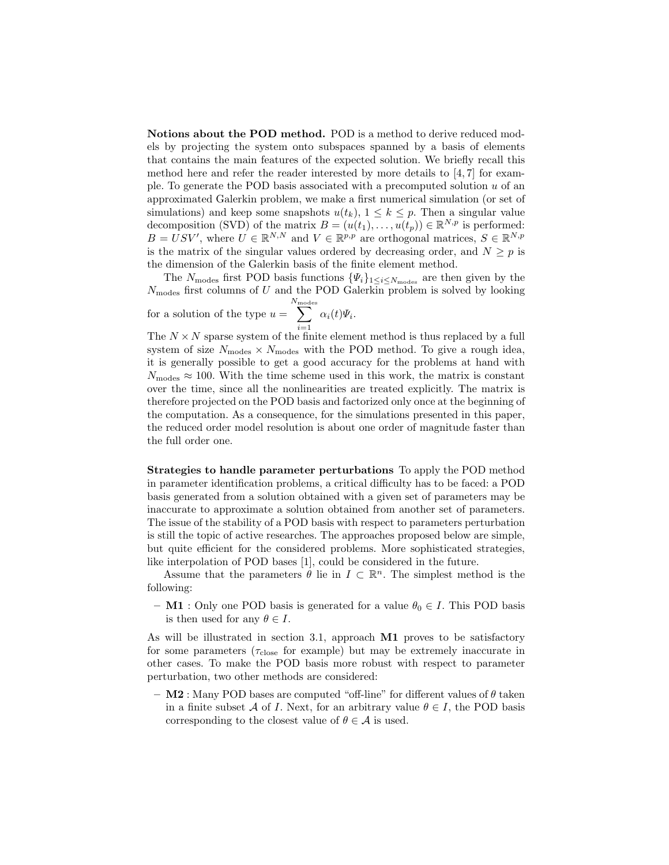Notions about the POD method. POD is a method to derive reduced models by projecting the system onto subspaces spanned by a basis of elements that contains the main features of the expected solution. We briefly recall this method here and refer the reader interested by more details to [4, 7] for example. To generate the POD basis associated with a precomputed solution  $u$  of an approximated Galerkin problem, we make a first numerical simulation (or set of simulations) and keep some snapshots  $u(t_k)$ ,  $1 \leq k \leq p$ . Then a singular value decomposition (SVD) of the matrix  $B = (u(t_1), \ldots, u(t_p)) \in \mathbb{R}^{N, p}$  is performed:  $B = USV'$ , where  $U \in \mathbb{R}^{N,N}$  and  $V \in \mathbb{R}^{p,p}$  are orthogonal matrices,  $S \in \mathbb{R}^{N,p}$ is the matrix of the singular values ordered by decreasing order, and  $N \geq p$  is the dimension of the Galerkin basis of the finite element method.

The  $N_{\text{modes}}$  first POD basis functions  $\{\Psi_i\}_{1 \leq i \leq N_{\text{modes}}}$  are then given by the  $N_{\text{modes}}$  first columns of U and the POD Galerkin problem is solved by looking for a solution of the type  $u =$  $\sum^N$  $i=1$  $\alpha_i(t)\varPsi_i.$ 

The  $N \times N$  sparse system of the finite element method is thus replaced by a full system of size  $N_{\text{modes}} \times N_{\text{modes}}$  with the POD method. To give a rough idea, it is generally possible to get a good accuracy for the problems at hand with  $N_{\text{modes}} \approx 100$ . With the time scheme used in this work, the matrix is constant over the time, since all the nonlinearities are treated explicitly. The matrix is therefore projected on the POD basis and factorized only once at the beginning of the computation. As a consequence, for the simulations presented in this paper, the reduced order model resolution is about one order of magnitude faster than the full order one.

Strategies to handle parameter perturbations To apply the POD method in parameter identification problems, a critical difficulty has to be faced: a POD basis generated from a solution obtained with a given set of parameters may be inaccurate to approximate a solution obtained from another set of parameters. The issue of the stability of a POD basis with respect to parameters perturbation is still the topic of active researches. The approaches proposed below are simple, but quite efficient for the considered problems. More sophisticated strategies, like interpolation of POD bases [1], could be considered in the future.

Assume that the parameters  $\theta$  lie in  $I \subset \mathbb{R}^n$ . The simplest method is the following:

– M1 : Only one POD basis is generated for a value  $\theta_0 \in I$ . This POD basis is then used for any  $\theta \in I$ .

As will be illustrated in section 3.1, approach M1 proves to be satisfactory for some parameters ( $\tau_{\text{close}}$  for example) but may be extremely inaccurate in other cases. To make the POD basis more robust with respect to parameter perturbation, two other methods are considered:

 $-$  M2 : Many POD bases are computed "off-line" for different values of  $\theta$  taken in a finite subset A of I. Next, for an arbitrary value  $\theta \in I$ , the POD basis corresponding to the closest value of  $\theta \in \mathcal{A}$  is used.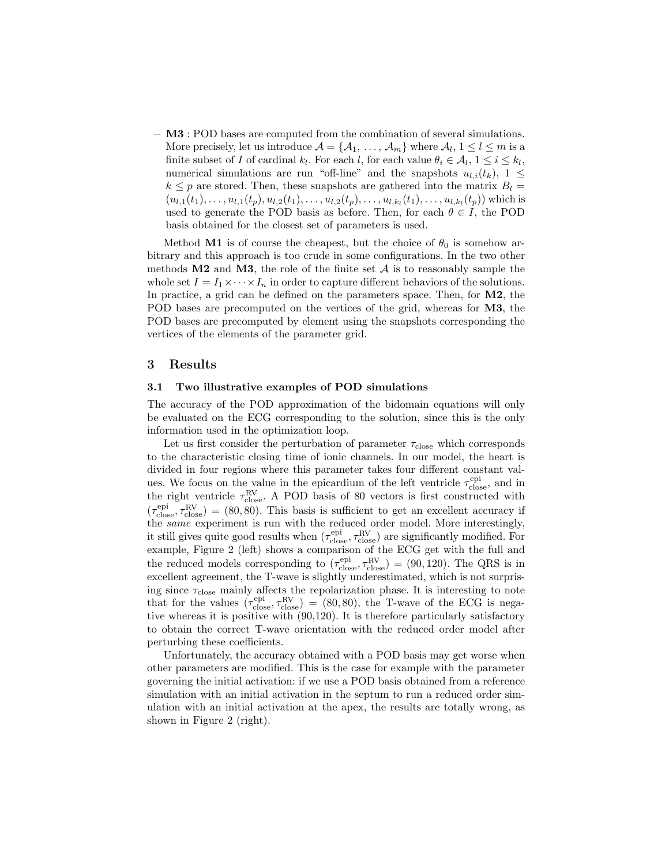– M3 : POD bases are computed from the combination of several simulations. More precisely, let us introduce  $\mathcal{A} = \{A_1, \ldots, A_m\}$  where  $A_l, 1 \leq l \leq m$  is a finite subset of I of cardinal  $k_l$ . For each l, for each value  $\theta_i \in \mathcal{A}_l, 1 \leq i \leq k_l$ , numerical simulations are run "off-line" and the snapshots  $u_{l,i}(t_k)$ ,  $1 \leq$  $k \leq p$  are stored. Then, these snapshots are gathered into the matrix  $B_l =$  $(u_{l,1}(t_1),...,u_{l,1}(t_p),u_{l,2}(t_1),...,u_{l,2}(t_p),...,u_{l,k_l}(t_1),...,u_{l,k_l}(t_p))$  which is used to generate the POD basis as before. Then, for each  $\theta \in I$ , the POD basis obtained for the closest set of parameters is used.

Method M1 is of course the cheapest, but the choice of  $\theta_0$  is somehow arbitrary and this approach is too crude in some configurations. In the two other methods  $M2$  and  $M3$ , the role of the finite set A is to reasonably sample the whole set  $I = I_1 \times \cdots \times I_n$  in order to capture different behaviors of the solutions. In practice, a grid can be defined on the parameters space. Then, for M2, the POD bases are precomputed on the vertices of the grid, whereas for **M3**, the POD bases are precomputed by element using the snapshots corresponding the vertices of the elements of the parameter grid.

## 3 Results

#### 3.1 Two illustrative examples of POD simulations

The accuracy of the POD approximation of the bidomain equations will only be evaluated on the ECG corresponding to the solution, since this is the only information used in the optimization loop.

Let us first consider the perturbation of parameter  $\tau_{\rm close}$  which corresponds to the characteristic closing time of ionic channels. In our model, the heart is divided in four regions where this parameter takes four different constant values. We focus on the value in the epicardium of the left ventricle  $\tau_{\text{close}}^{\text{epi}}$ , and in the right ventricle  $\tau_{\text{close}}^{\text{RV}}$ . A POD basis of 80 vectors is first constructed with  $(\tau_{\text{close}}^{\text{epi}}, \tau_{\text{close}}^{\text{RV}}) = (80, 80)$ . This basis is sufficient to get an excellent accuracy if the same experiment is run with the reduced order model. More interestingly, it still gives quite good results when  $(\tau_{\text{close}}^{\text{epi}}, \tau_{\text{close}}^{\text{RV}})$  are significantly modified. For example, Figure 2 (left) shows a comparison of the ECG get with the full and the reduced models corresponding to  $(\tau_{\text{close}}^{\text{epi}}, \tau_{\text{close}}^{\text{RV}}) = (90, 120)$ . The QRS is in excellent agreement, the T-wave is slightly underestimated, which is not surprising since  $\tau_{\text{close}}$  mainly affects the repolarization phase. It is interesting to note that for the values  $(\tau_{\text{close}}^{\text{epi}}, \tau_{\text{close}}^{\text{RV}}) = (80, 80)$ , the T-wave of the ECG is negative whereas it is positive with (90,120). It is therefore particularly satisfactory to obtain the correct T-wave orientation with the reduced order model after perturbing these coefficients.

Unfortunately, the accuracy obtained with a POD basis may get worse when other parameters are modified. This is the case for example with the parameter governing the initial activation: if we use a POD basis obtained from a reference simulation with an initial activation in the septum to run a reduced order simulation with an initial activation at the apex, the results are totally wrong, as shown in Figure 2 (right).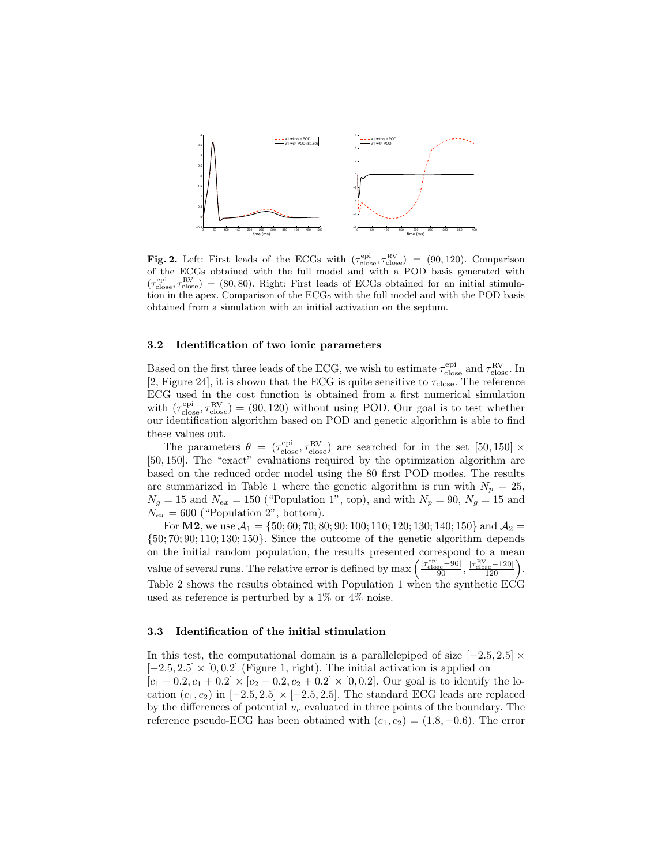

Fig. 2. Left: First leads of the ECGs with  $(\tau_{\text{close}}^{\text{epi}}, \tau_{\text{close}}^{\text{RV}}) = (90, 120)$ . Comparison of the ECGs obtained with the full model and with a POD basis generated with  $(\tau_{\text{close}}^{\text{epi}}, \tau_{\text{close}}^{\text{RV}}) = (80, 80)$ . Right: First leads of ECGs obtained for an initial stimulation in the apex. Comparison of the ECGs with the full model and with the POD basis obtained from a simulation with an initial activation on the septum.

#### 3.2 Identification of two ionic parameters

Based on the first three leads of the ECG, we wish to estimate  $\tau_{\rm close}^{\rm epi}$  and  $\tau_{\rm close}^{\rm RV}$ . In [2, Figure 24], it is shown that the ECG is quite sensitive to  $\tau_{\text{close}}$ . The reference ECG used in the cost function is obtained from a first numerical simulation with  $(\tau_{\text{close}}^{\text{epi}}, \tau_{\text{close}}^{\text{RV}}) = (90, 120)$  without using POD. Our goal is to test whether our identification algorithm based on POD and genetic algorithm is able to find these values out.

The parameters  $\theta = (\tau_{\text{close}}^{\text{epi}}, \tau_{\text{close}}^{\text{RV}})$  are searched for in the set [50,150]  $\times$ [50, 150]. The "exact" evaluations required by the optimization algorithm are based on the reduced order model using the 80 first POD modes. The results are summarized in Table 1 where the genetic algorithm is run with  $N_p = 25$ ,  $N_g = 15$  and  $N_{ex} = 150$  ("Population 1", top), and with  $N_p = 90$ ,  $N_g = 15$  and  $N_{ex} = 600$  ("Population 2", bottom).

For **M2**, we use  $A_1 = \{50, 60, 70, 80, 90, 100, 110, 120, 130, 140, 150\}$  and  $A_2 =$  $\{50; 70; 90; 110; 130; 150\}$ . Since the outcome of the genetic algorithm depends on the initial random population, the results presented correspond to a mean value of several runs. The relative error is defined by  $\max\left(\frac{|\tau^{\text{epi}}_{\text{close}}-90|}{90}, \frac{|\tau^{\text{RV}}_{\text{close}}-120|}{120}\right)$ . Table 2 shows the results obtained with Population 1 when the synthetic ECG used as reference is perturbed by a 1% or 4% noise.

#### 3.3 Identification of the initial stimulation

In this test, the computational domain is a parallelepiped of size  $[-2.5, 2.5] \times$  $[-2.5, 2.5] \times [0, 0.2]$  (Figure 1, right). The initial activation is applied on  $[c_1 - 0.2, c_1 + 0.2] \times [c_2 - 0.2, c_2 + 0.2] \times [0, 0.2]$ . Our goal is to identify the location  $(c_1, c_2)$  in  $[-2.5, 2.5] \times [-2.5, 2.5]$ . The standard ECG leads are replaced by the differences of potential  $u_{e}$  evaluated in three points of the boundary. The reference pseudo-ECG has been obtained with  $(c_1, c_2) = (1.8, -0.6)$ . The error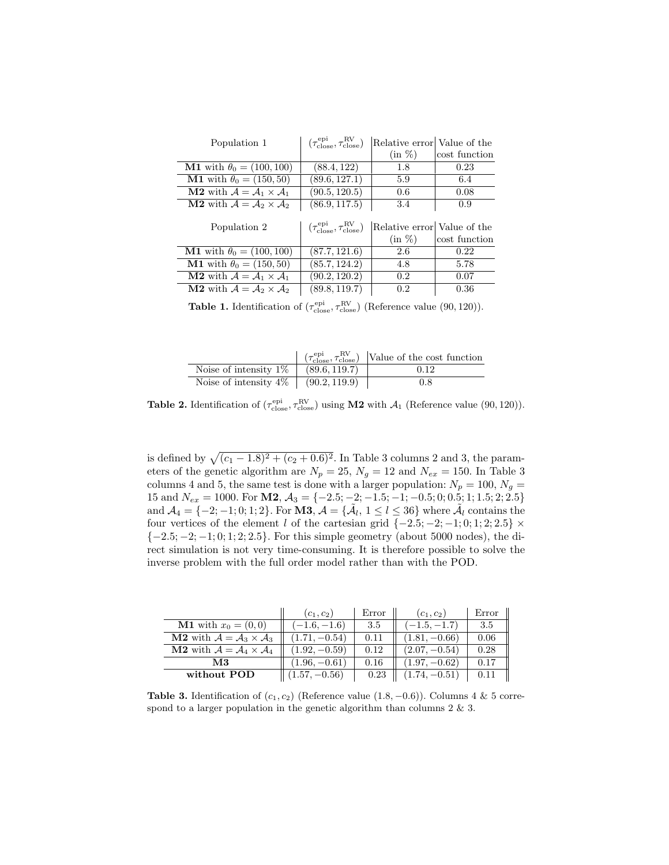| Population 1                                                      | $(\tau_{\text{close}}^{\text{epi}}, \tau_{\text{close}}^{\text{RV}})$ | Relative error Value of the              |               |
|-------------------------------------------------------------------|-----------------------------------------------------------------------|------------------------------------------|---------------|
|                                                                   |                                                                       | $(in \%)$                                | cost function |
| <b>M1</b> with $\theta_0 = (100, 100)$                            | (88.4, 122)                                                           | 1.8                                      | 0.23          |
| <b>M1</b> with $\theta_0 = (150, 50)$                             | (89.6, 127.1)                                                         | 5.9                                      | 6.4           |
| <b>M2</b> with $\mathcal{A} = \mathcal{A}_1 \times \mathcal{A}_1$ | (90.5, 120.5)                                                         | 0.6                                      | 0.08          |
| <b>M2</b> with $\mathcal{A} = \mathcal{A}_2 \times \mathcal{A}_2$ | (86.9, 117.5)                                                         | 3.4                                      | 0.9           |
| Population 2                                                      | $(\tau_{\text{close}}^{\text{epi}}, \tau_{\text{close}}^{\text{RV}})$ | Relative error Value of the<br>$(in \%)$ | cost function |
| <b>M1</b> with $\theta_0 = (100, 100)$                            | (87.7, 121.6)                                                         | 2.6                                      | 0.22          |
| <b>M1</b> with $\theta_0 = (150, 50)$                             | (85.7, 124.2)                                                         | 4.8                                      | 5.78          |
| <b>M2</b> with $\mathcal{A} = \mathcal{A}_1 \times \mathcal{A}_1$ | (90.2, 120.2)                                                         | 0.2                                      | 0.07          |
| <b>M2</b> with $\mathcal{A} = \mathcal{A}_2 \times \mathcal{A}_2$ | (89.8, 119.7)                                                         | 0.2                                      | 0.36          |

**Table 1.** Identification of  $(\tau_{\text{close}}^{\text{epi}}, \tau_{\text{close}}^{\text{RV}})$  (Reference value (90, 120)).

|                                            | $\int$ $(\tau_{\text{close}}^{\text{epi}}, \tau_{\text{close}}^{\text{RV}})$ [Value of the cost function |
|--------------------------------------------|----------------------------------------------------------------------------------------------------------|
| Noise of intensity $1\%$   $(89.6, 119.7)$ | 0.12                                                                                                     |
| Noise of intensity $4\%$   $(90.2, 119.9)$ | 0.8                                                                                                      |

**Table 2.** Identification of  $(\tau_{\text{close}}^{\text{epi}}, \tau_{\text{close}}^{\text{RV}})$  using **M2** with  $\mathcal{A}_1$  (Reference value (90, 120)).

is defined by  $\sqrt{(c_1 - 1.8)^2 + (c_2 + 0.6)^2}$ . In Table 3 columns 2 and 3, the parameters of the genetic algorithm are  $N_p = 25$ ,  $N_g = 12$  and  $N_{ex} = 150$ . In Table 3 columns 4 and 5, the same test is done with a larger population:  $N_p = 100$ ,  $N_g =$ 15 and  $N_{ex} = 1000$ . For **M2**,  $A_3 = \{-2.5, -2, -1.5, -1, -0.5, 0, 0.5, 1, 1.5, 2, 2.5\}$ and  $\mathcal{A}_4 = \{-2, -1, 0, 1, 2\}$ . For  $\mathbf{M3}, \mathcal{A} = \{\tilde{\mathcal{A}}_l, 1 \leq l \leq 36\}$  where  $\tilde{\mathcal{A}}_l$  contains the four vertices of the element l of the cartesian grid  $\{-2.5, -2, -1, 0, 1, 2, 2.5\}$  ×  ${-2.5; -2; -1; 0; 1; 2; 2.5}.$  For this simple geometry (about 5000 nodes), the direct simulation is not very time-consuming. It is therefore possible to solve the inverse problem with the full order model rather than with the POD.

|                                                                   | $(c_1, c_2)$    | Error | $(c_1, c_2)$    | Error |
|-------------------------------------------------------------------|-----------------|-------|-----------------|-------|
| <b>M1</b> with $x_0 = (0, 0)$                                     | $-1.6, -1.6)$   | 3.5   | $-1.5, -1.7$    | 3.5   |
| <b>M2</b> with $\mathcal{A} = \mathcal{A}_3 \times \mathcal{A}_3$ | $(1.71, -0.54)$ | 0.11  | $(1.81, -0.66)$ | 0.06  |
| <b>M2</b> with $\mathcal{A} = \mathcal{A}_4 \times \mathcal{A}_4$ | $(1.92, -0.59)$ | 0.12  | $(2.07, -0.54)$ | 0.28  |
| MЗ                                                                | $(1.96, -0.61)$ | 0.16  | $(1.97, -0.62)$ | 0.17  |
| without POD                                                       | $(1.57, -0.56)$ | 0.23  | $(1.74, -0.51)$ |       |

Table 3. Identification of  $(c_1, c_2)$  (Reference value  $(1.8, -0.6)$ ). Columns 4 & 5 correspond to a larger population in the genetic algorithm than columns  $2 \& 3$ .